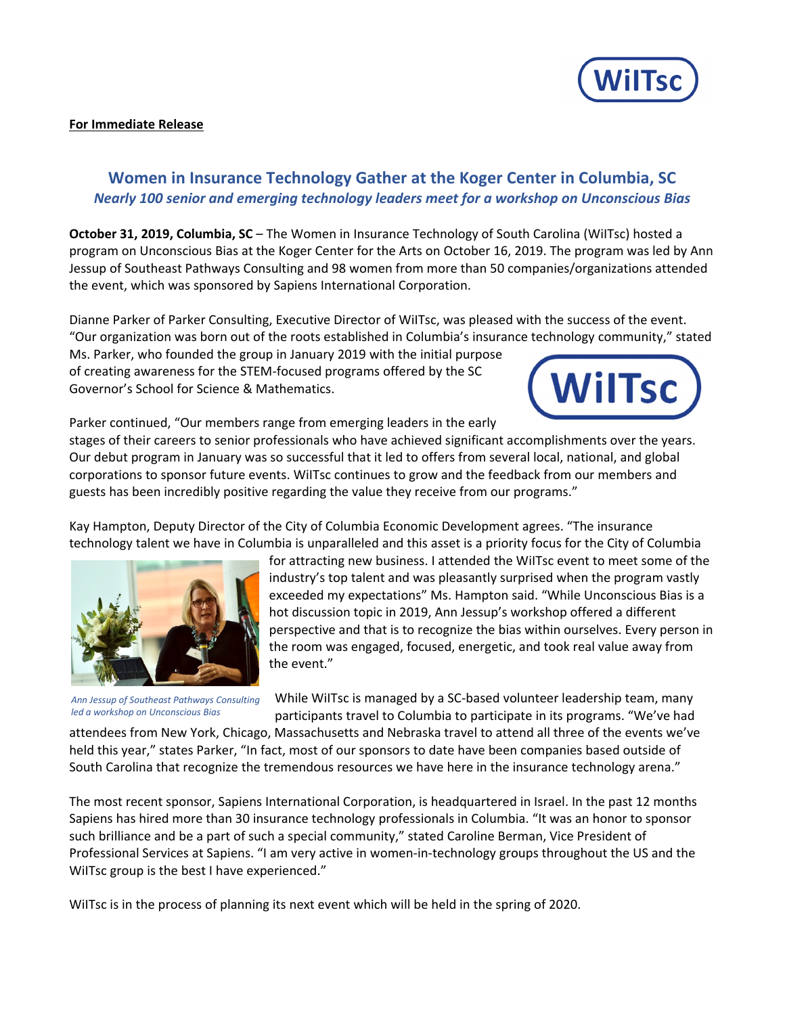

## **For Immediate Release**

## **Women in Insurance Technology Gather at the Koger Center in Columbia, SC** *Nearly 100 senior and emerging technology leaders meet for a workshop on Unconscious Bias*

**October 31, 2019, Columbia, SC** – The Women in Insurance Technology of South Carolina (WiITsc) hosted a program on Unconscious Bias at the Koger Center for the Arts on October 16, 2019. The program was led by Ann Jessup of Southeast Pathways Consulting and 98 women from more than 50 companies/organizations attended the event, which was sponsored by Sapiens International Corporation.

Dianne Parker of Parker Consulting, Executive Director of WiITsc, was pleased with the success of the event. "Our organization was born out of the roots established in Columbia's insurance technology community," stated

Ms. Parker, who founded the group in January 2019 with the initial purpose of creating awareness for the STEM‐focused programs offered by the SC Governor's School for Science & Mathematics.



Parker continued, "Our members range from emerging leaders in the early

stages of their careers to senior professionals who have achieved significant accomplishments over the years. Our debut program in January was so successful that it led to offers from several local, national, and global corporations to sponsor future events. WiITsc continues to grow and the feedback from our members and guests has been incredibly positive regarding the value they receive from our programs."

Kay Hampton, Deputy Director of the City of Columbia Economic Development agrees. "The insurance technology talent we have in Columbia is unparalleled and this asset is a priority focus for the City of Columbia



*Ann Jessup of Southeast Pathways Consulting led a workshop on Unconscious Bias*

for attracting new business. I attended the WiITsc event to meet some of the industry's top talent and was pleasantly surprised when the program vastly exceeded my expectations" Ms. Hampton said. "While Unconscious Bias is a hot discussion topic in 2019, Ann Jessup's workshop offered a different perspective and that is to recognize the bias within ourselves. Every person in the room was engaged, focused, energetic, and took real value away from the event."

While WiITsc is managed by a SC-based volunteer leadership team, many participants travel to Columbia to participate in its programs. "We've had

attendees from New York, Chicago, Massachusetts and Nebraska travel to attend all three of the events we've held this year," states Parker, "In fact, most of our sponsors to date have been companies based outside of South Carolina that recognize the tremendous resources we have here in the insurance technology arena."

The most recent sponsor, Sapiens International Corporation, is headquartered in Israel. In the past 12 months Sapiens has hired more than 30 insurance technology professionals in Columbia. "It was an honor to sponsor such brilliance and be a part of such a special community," stated Caroline Berman, Vice President of Professional Services at Sapiens. "I am very active in women‐in‐technology groups throughout the US and the WiITsc group is the best I have experienced."

WiITsc is in the process of planning its next event which will be held in the spring of 2020.